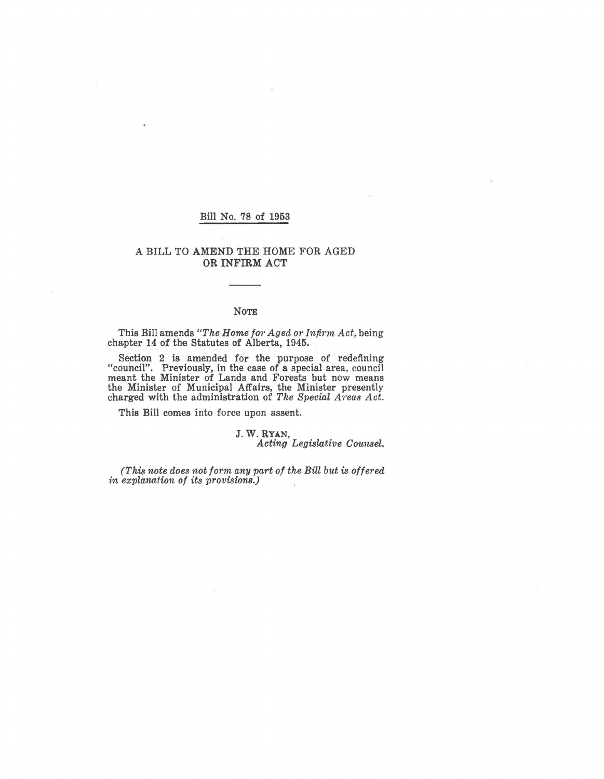### Bill No. 78 of 1953

### A BILL TO AMEND THE HOME FOR AGED OR INFIRM ACT

#### NOTE

This Bill amends *"The Home f01' Aged or Inji1·m Act,* being chapter 14 of the Statutes of Alberta, 1945.

Section 2 is amended for the purpose of redefining "council". Previously, in the case of a special area, council meant the Minister of Lands and Forests but now means the Minister of Municipal Affairs, the Minister presently charged with the administration of *The Special A1·eas Act.* 

This Bill comes into force upon assent.

# J.W.RYAN,

*Acting Legislative Counsel.* 

*(This note does not form any part of the Bill but is offered in explanation of its provisiom.)*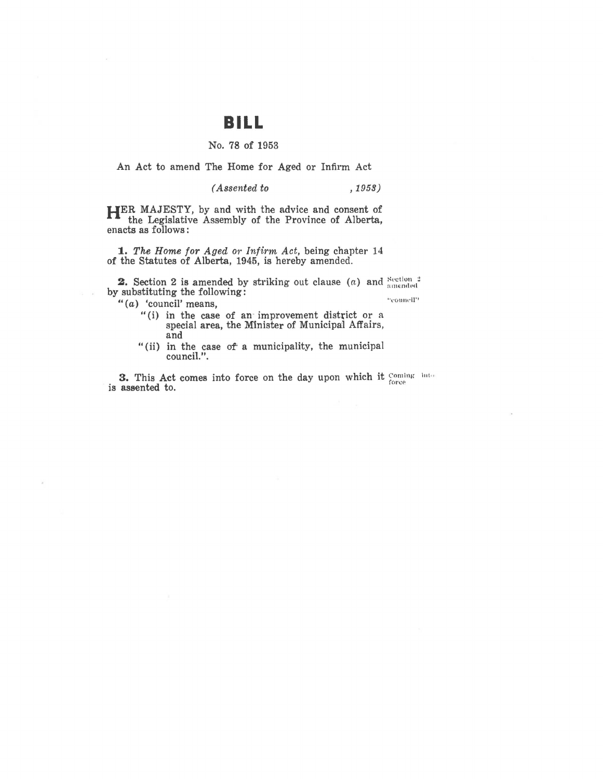# **BILL**

### No. 78 of 1953

An Act to amend The Home for Aged or Infirm Act

*(Assented to , 1959)* 

**HER** MAJESTY, by and with the advice and consent of the Legislative Assembly of the Province of Alberta, enacts as follows:

**1.** The Home for Aged or Infirm Act, being chapter 14 of the Statutes of Alberta, 1945, is hereby amended.

**2.** Section 2 is amended by striking out clause (a) and  $\frac{\text{Section 2}}{\text{amended}}$ by substituting the following:

"(a) 'council' means,

**•·eoulu-11''** 

- "(i) in the case of an improvement district or a special area, the Minister of Municipal Affairs, and
- "(ii) in the case of a municipality, the municipal council.".

**3.** This Act comes into force on the day upon which it coming **is assented to.** *contract the second term in the second term in the second term in the second term in the second term in the second term in the second term in the second term in the second term in the second term in the*